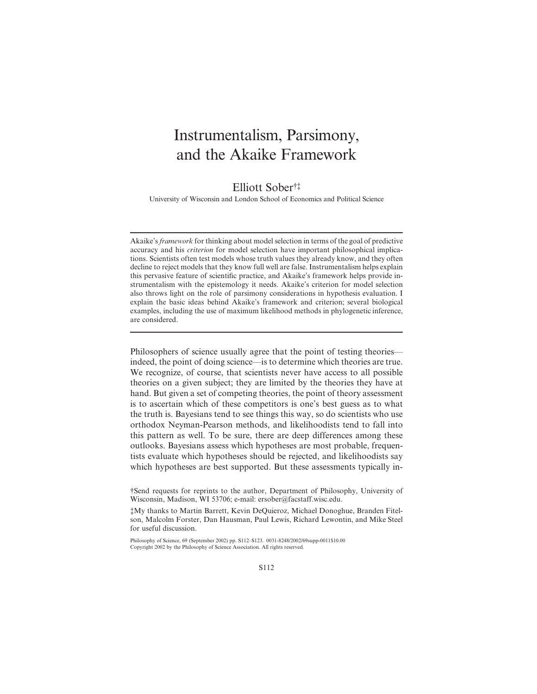# Instrumentalism, Parsimony, and the Akaike Framework

# Elliott Sober†‡

University of Wisconsin and London School of Economics and Political Science

Akaike's *framework* for thinking about model selection in terms of the goal of predictive accuracy and his *criterion* for model selection have important philosophical implications. Scientists often test models whose truth values they already know, and they often decline to reject models that they know full well are false. Instrumentalism helps explain this pervasive feature of scientific practice, and Akaike's framework helps provide instrumentalism with the epistemology it needs. Akaike's criterion for model selection also throws light on the role of parsimony considerations in hypothesis evaluation. I explain the basic ideas behind Akaike's framework and criterion; several biological examples, including the use of maximum likelihood methods in phylogenetic inference, are considered.

Philosophers of science usually agree that the point of testing theories indeed, the point of doing science—is to determine which theories are true. We recognize, of course, that scientists never have access to all possible theories on a given subject; they are limited by the theories they have at hand. But given a set of competing theories, the point of theory assessment is to ascertain which of these competitors is one's best guess as to what the truth is. Bayesians tend to see things this way, so do scientists who use orthodox Neyman-Pearson methods, and likelihoodists tend to fall into this pattern as well. To be sure, there are deep differences among these outlooks. Bayesians assess which hypotheses are most probable, frequentists evaluate which hypotheses should be rejected, and likelihoodists say which hypotheses are best supported. But these assessments typically in-

†Send requests for reprints to the author, Department of Philosophy, University of Wisconsin, Madison, WI 53706; e-mail: ersober@facstaff.wisc.edu.

‡My thanks to Martin Barrett, Kevin DeQuieroz, Michael Donoghue, Branden Fitelson, Malcolm Forster, Dan Hausman, Paul Lewis, Richard Lewontin, and Mike Steel for useful discussion.

Philosophy of Science, 69 (September 2002) pp. S112–S123. 0031-8248/2002/69supp-0011\$10.00 Copyright 2002 by the Philosophy of Science Association. All rights reserved.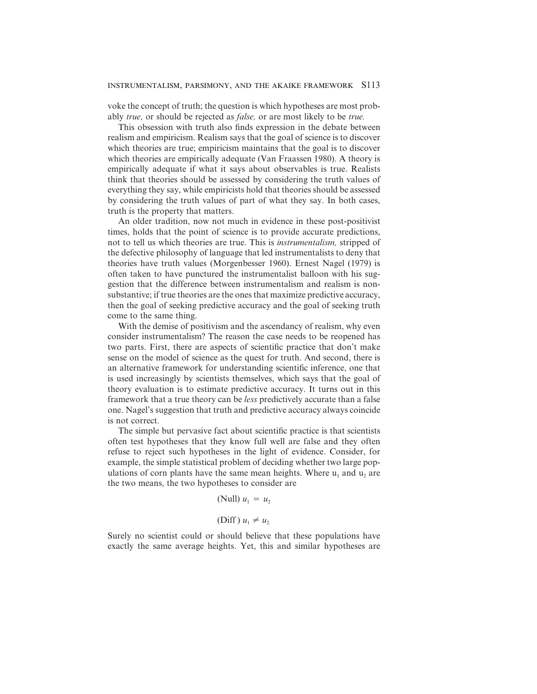voke the concept of truth; the question is which hypotheses are most probably *true,* or should be rejected as *false,* or are most likely to be *true.*

This obsession with truth also finds expression in the debate between realism and empiricism. Realism says that the goal of science is to discover which theories are true; empiricism maintains that the goal is to discover which theories are empirically adequate (Van Fraassen 1980). A theory is empirically adequate if what it says about observables is true. Realists think that theories should be assessed by considering the truth values of everything they say, while empiricists hold that theories should be assessed by considering the truth values of part of what they say. In both cases, truth is the property that matters.

An older tradition, now not much in evidence in these post-positivist times, holds that the point of science is to provide accurate predictions, not to tell us which theories are true. This is *instrumentalism,* stripped of the defective philosophy of language that led instrumentalists to deny that theories have truth values (Morgenbesser 1960). Ernest Nagel (1979) is often taken to have punctured the instrumentalist balloon with his suggestion that the difference between instrumentalism and realism is nonsubstantive; if true theories are the ones that maximize predictive accuracy, then the goal of seeking predictive accuracy and the goal of seeking truth come to the same thing.

With the demise of positivism and the ascendancy of realism, why even consider instrumentalism? The reason the case needs to be reopened has two parts. First, there are aspects of scientific practice that don't make sense on the model of science as the quest for truth. And second, there is an alternative framework for understanding scientific inference, one that is used increasingly by scientists themselves, which says that the goal of theory evaluation is to estimate predictive accuracy. It turns out in this framework that a true theory can be *less* predictively accurate than a false one. Nagel's suggestion that truth and predictive accuracy always coincide is not correct.

The simple but pervasive fact about scientific practice is that scientists often test hypotheses that they know full well are false and they often refuse to reject such hypotheses in the light of evidence. Consider, for example, the simple statistical problem of deciding whether two large populations of corn plants have the same mean heights. Where  $u_1$  and  $u_2$  are the two means, the two hypotheses to consider are

$$
(Null) u_1 = u_2
$$

(Diff) 
$$
u_1 \neq u_2
$$

Surely no scientist could or should believe that these populations have exactly the same average heights. Yet, this and similar hypotheses are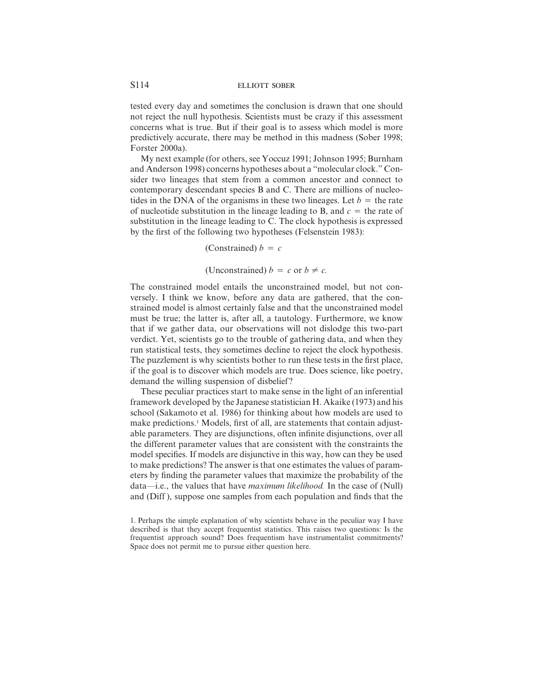#### S114 ELLIOTT SOBER

tested every day and sometimes the conclusion is drawn that one should not reject the null hypothesis. Scientists must be crazy if this assessment concerns what is true. But if their goal is to assess which model is more predictively accurate, there may be method in this madness (Sober 1998; Forster 2000a).

My next example (for others, see Yoccuz 1991; Johnson 1995; Burnham and Anderson 1998) concerns hypotheses about a "molecular clock." Consider two lineages that stem from a common ancestor and connect to contemporary descendant species B and C. There are millions of nucleotides in the DNA of the organisms in these two lineages. Let  $b =$  the rate of nucleotide substitution in the lineage leading to B, and  $c =$  the rate of substitution in the lineage leading to C. The clock hypothesis is expressed by the first of the following two hypotheses (Felsenstein 1983):

(Constrained)  $b = c$ 

(Unconstrained)  $b = c$  or  $b \neq c$ .

The constrained model entails the unconstrained model, but not conversely. I think we know, before any data are gathered, that the constrained model is almost certainly false and that the unconstrained model must be true; the latter is, after all, a tautology. Furthermore, we know that if we gather data, our observations will not dislodge this two-part verdict. Yet, scientists go to the trouble of gathering data, and when they run statistical tests, they sometimes decline to reject the clock hypothesis. The puzzlement is why scientists bother to run these tests in the first place, if the goal is to discover which models are true. Does science, like poetry, demand the willing suspension of disbelief?

These peculiar practices start to make sense in the light of an inferential framework developed by the Japanese statistician H. Akaike (1973) and his school (Sakamoto et al. 1986) for thinking about how models are used to make predictions.<sup>1</sup> Models, first of all, are statements that contain adjustable parameters. They are disjunctions, often infinite disjunctions, over all the different parameter values that are consistent with the constraints the model specifies. If models are disjunctive in this way, how can they be used to make predictions? The answer is that one estimates the values of parameters by finding the parameter values that maximize the probability of the data—i.e., the values that have *maximum likelihood.* In the case of (Null) and (Diff ), suppose one samples from each population and finds that the

<sup>1.</sup> Perhaps the simple explanation of why scientists behave in the peculiar way I have described is that they accept frequentist statistics. This raises two questions: Is the frequentist approach sound? Does frequentism have instrumentalist commitments? Space does not permit me to pursue either question here.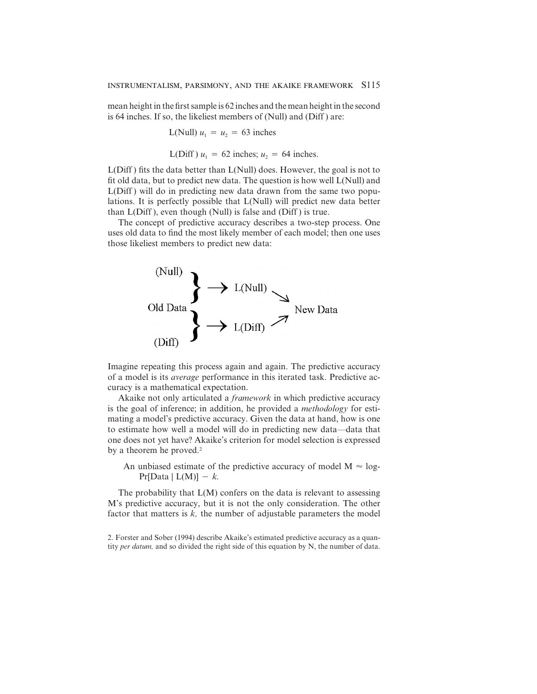mean height in the first sample is 62 inches and the mean height in the second is 64 inches. If so, the likeliest members of (Null) and (Diff ) are:

L(Null)  $u_1 = u_2 = 63$  inches

L(Diff)  $u_1 = 62$  inches;  $u_2 = 64$  inches.

L(Diff ) fits the data better than L(Null) does. However, the goal is not to fit old data, but to predict new data. The question is how well L(Null) and L(Diff ) will do in predicting new data drawn from the same two populations. It is perfectly possible that L(Null) will predict new data better than L(Diff ), even though (Null) is false and (Diff ) is true.

The concept of predictive accuracy describes a two-step process. One uses old data to find the most likely member of each model; then one uses those likeliest members to predict new data:



Imagine repeating this process again and again. The predictive accuracy of a model is its *average* performance in this iterated task. Predictive accuracy is a mathematical expectation.

Akaike not only articulated a *framework* in which predictive accuracy is the goal of inference; in addition, he provided a *methodology* for estimating a model's predictive accuracy. Given the data at hand, how is one to estimate how well a model will do in predicting new data—data that one does not yet have? Akaike's criterion for model selection is expressed by a theorem he proved.<sup>2</sup>

An unbiased estimate of the predictive accuracy of model  $M \approx log$ - $Pr[Data | L(M)] - k$ .

The probability that  $L(M)$  confers on the data is relevant to assessing M's predictive accuracy, but it is not the only consideration. The other factor that matters is *k,* the number of adjustable parameters the model

2. Forster and Sober (1994) describe Akaike's estimated predictive accuracy as a quantity *per datum,* and so divided the right side of this equation by N, the number of data.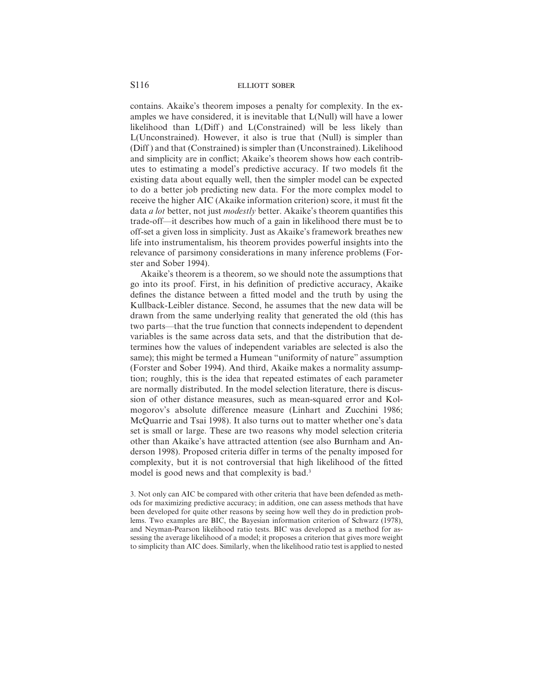## S116 ELLIOTT SOBER

contains. Akaike's theorem imposes a penalty for complexity. In the examples we have considered, it is inevitable that L(Null) will have a lower likelihood than  $L(Diff)$  and  $L(Constrained)$  will be less likely than L(Unconstrained). However, it also is true that (Null) is simpler than (Diff ) and that (Constrained) is simpler than (Unconstrained). Likelihood and simplicity are in conflict; Akaike's theorem shows how each contributes to estimating a model's predictive accuracy. If two models fit the existing data about equally well, then the simpler model can be expected to do a better job predicting new data. For the more complex model to receive the higher AIC (Akaike information criterion) score, it must fit the data *a lot* better, not just *modestly* better. Akaike's theorem quantifies this trade-off—it describes how much of a gain in likelihood there must be to off-set a given loss in simplicity. Just as Akaike's framework breathes new life into instrumentalism, his theorem provides powerful insights into the relevance of parsimony considerations in many inference problems (Forster and Sober 1994).

Akaike's theorem is a theorem, so we should note the assumptions that go into its proof. First, in his definition of predictive accuracy, Akaike defines the distance between a fitted model and the truth by using the Kullback-Leibler distance. Second, he assumes that the new data will be drawn from the same underlying reality that generated the old (this has two parts—that the true function that connects independent to dependent variables is the same across data sets, and that the distribution that determines how the values of independent variables are selected is also the same); this might be termed a Humean "uniformity of nature" assumption (Forster and Sober 1994). And third, Akaike makes a normality assumption; roughly, this is the idea that repeated estimates of each parameter are normally distributed. In the model selection literature, there is discussion of other distance measures, such as mean-squared error and Kolmogorov's absolute difference measure (Linhart and Zucchini 1986; McQuarrie and Tsai 1998). It also turns out to matter whether one's data set is small or large. These are two reasons why model selection criteria other than Akaike's have attracted attention (see also Burnham and Anderson 1998). Proposed criteria differ in terms of the penalty imposed for complexity, but it is not controversial that high likelihood of the fitted model is good news and that complexity is bad.<sup>3</sup>

3. Not only can AIC be compared with other criteria that have been defended as methods for maximizing predictive accuracy; in addition, one can assess methods that have been developed for quite other reasons by seeing how well they do in prediction problems. Two examples are BIC, the Bayesian information criterion of Schwarz (1978), and Neyman-Pearson likelihood ratio tests. BIC was developed as a method for assessing the average likelihood of a model; it proposes a criterion that gives more weight to simplicity than AIC does. Similarly, when the likelihood ratio test is applied to nested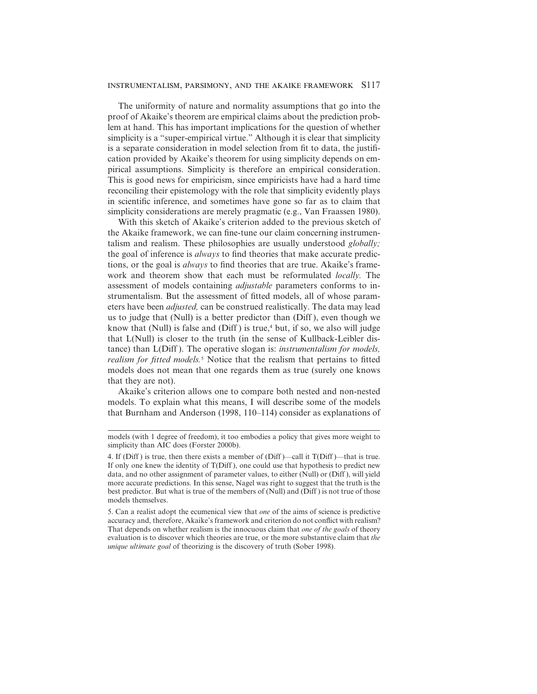## INSTRUMENTALISM, PARSIMONY, AND THE AKAIKE FRAMEWORK S117

The uniformity of nature and normality assumptions that go into the proof of Akaike's theorem are empirical claims about the prediction problem at hand. This has important implications for the question of whether simplicity is a "super-empirical virtue." Although it is clear that simplicity is a separate consideration in model selection from fit to data, the justification provided by Akaike's theorem for using simplicity depends on empirical assumptions. Simplicity is therefore an empirical consideration. This is good news for empiricism, since empiricists have had a hard time reconciling their epistemology with the role that simplicity evidently plays in scientific inference, and sometimes have gone so far as to claim that simplicity considerations are merely pragmatic (e.g., Van Fraassen 1980).

With this sketch of Akaike's criterion added to the previous sketch of the Akaike framework, we can fine-tune our claim concerning instrumentalism and realism. These philosophies are usually understood *globally;* the goal of inference is *always* to find theories that make accurate predictions, or the goal is *always* to find theories that are true. Akaike's framework and theorem show that each must be reformulated *locally.* The assessment of models containing *adjustable* parameters conforms to instrumentalism. But the assessment of fitted models, all of whose parameters have been *adjusted,* can be construed realistically. The data may lead us to judge that (Null) is a better predictor than (Diff ), even though we know that (Null) is false and (Diff) is true, $4$  but, if so, we also will judge that L(Null) is closer to the truth (in the sense of Kullback-Leibler distance) than L(Diff ). The operative slogan is: *instrumentalism for models, realism for fitted models.*<sup>5</sup> Notice that the realism that pertains to fitted models does not mean that one regards them as true (surely one knows that they are not).

Akaike's criterion allows one to compare both nested and non-nested models. To explain what this means, I will describe some of the models that Burnham and Anderson (1998, 110–114) consider as explanations of

models (with 1 degree of freedom), it too embodies a policy that gives more weight to simplicity than AIC does (Forster 2000b).

<sup>4.</sup> If (Diff ) is true, then there exists a member of (Diff )—call it T(Diff )—that is true. If only one knew the identity of T(Diff ), one could use that hypothesis to predict new data, and no other assignment of parameter values, to either (Null) or (Diff ), will yield more accurate predictions. In this sense, Nagel was right to suggest that the truth is the best predictor. But what is true of the members of (Null) and (Diff ) is not true of those models themselves.

<sup>5.</sup> Can a realist adopt the ecumenical view that *one* of the aims of science is predictive accuracy and, therefore, Akaike's framework and criterion do not conflict with realism? That depends on whether realism is the innocuous claim that *one of the goals* of theory evaluation is to discover which theories are true, or the more substantive claim that *the unique ultimate goal* of theorizing is the discovery of truth (Sober 1998).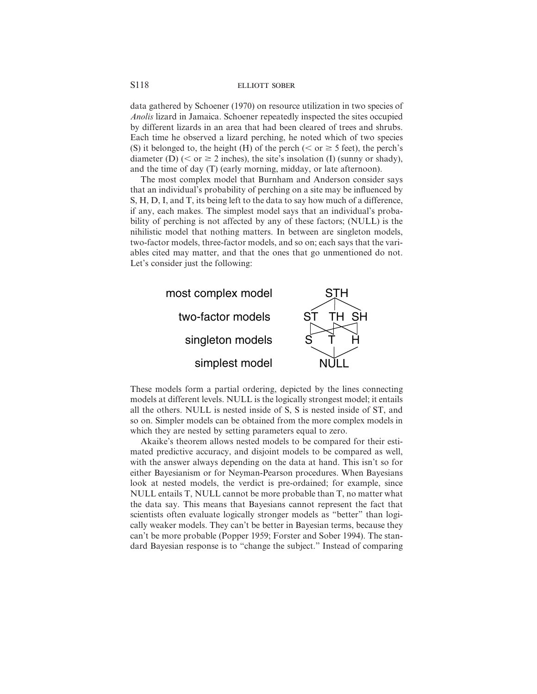#### S118 ELLIOTT SOBER

data gathered by Schoener (1970) on resource utilization in two species of *Anolis* lizard in Jamaica. Schoener repeatedly inspected the sites occupied by different lizards in an area that had been cleared of trees and shrubs. Each time he observed a lizard perching, he noted which of two species (S) it belonged to, the height (H) of the perch ( $\le$  or  $\ge$  5 feet), the perch's diameter (D) ( $\le$  or  $\ge$  2 inches), the site's insolation (I) (sunny or shady), and the time of day (T) (early morning, midday, or late afternoon).

The most complex model that Burnham and Anderson consider says that an individual's probability of perching on a site may be influenced by S, H, D, I, and T, its being left to the data to say how much of a difference, if any, each makes. The simplest model says that an individual's probability of perching is not affected by any of these factors; (NULL) is the nihilistic model that nothing matters. In between are singleton models, two-factor models, three-factor models, and so on; each says that the variables cited may matter, and that the ones that go unmentioned do not. Let's consider just the following:



These models form a partial ordering, depicted by the lines connecting models at different levels. NULL is the logically strongest model; it entails all the others. NULL is nested inside of S, S is nested inside of ST, and so on. Simpler models can be obtained from the more complex models in which they are nested by setting parameters equal to zero.

Akaike's theorem allows nested models to be compared for their estimated predictive accuracy, and disjoint models to be compared as well, with the answer always depending on the data at hand. This isn't so for either Bayesianism or for Neyman-Pearson procedures. When Bayesians look at nested models, the verdict is pre-ordained; for example, since NULL entails T, NULL cannot be more probable than T, no matter what the data say. This means that Bayesians cannot represent the fact that scientists often evaluate logically stronger models as "better" than logically weaker models. They can't be better in Bayesian terms, because they can't be more probable (Popper 1959; Forster and Sober 1994). The standard Bayesian response is to "change the subject." Instead of comparing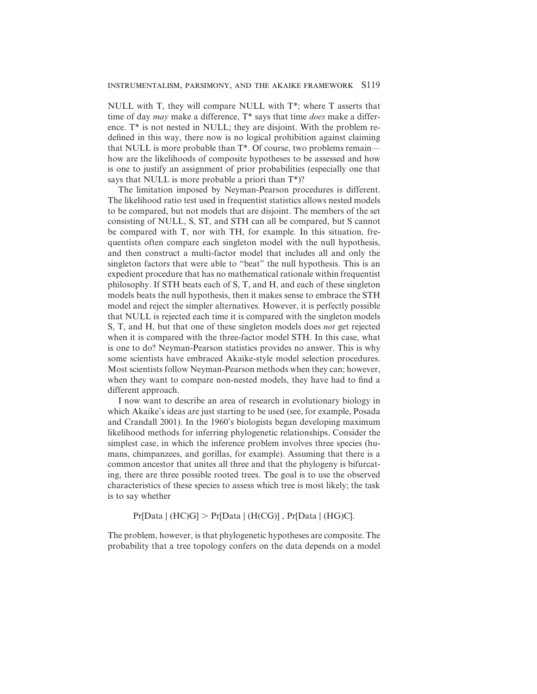NULL with T, they will compare NULL with T\*; where T asserts that time of day *may* make a difference, T\* says that time *does* make a difference. T\* is not nested in NULL; they are disjoint. With the problem redefined in this way, there now is no logical prohibition against claiming that NULL is more probable than T\*. Of course, two problems remain how are the likelihoods of composite hypotheses to be assessed and how is one to justify an assignment of prior probabilities (especially one that says that NULL is more probable a priori than T\*)?

The limitation imposed by Neyman-Pearson procedures is different. The likelihood ratio test used in frequentist statistics allows nested models to be compared, but not models that are disjoint. The members of the set consisting of NULL, S, ST, and STH can all be compared, but S cannot be compared with T, nor with TH, for example. In this situation, frequentists often compare each singleton model with the null hypothesis, and then construct a multi-factor model that includes all and only the singleton factors that were able to "beat" the null hypothesis. This is an expedient procedure that has no mathematical rationale within frequentist philosophy. If STH beats each of S, T, and H, and each of these singleton models beats the null hypothesis, then it makes sense to embrace the STH model and reject the simpler alternatives. However, it is perfectly possible that NULL is rejected each time it is compared with the singleton models S, T, and H, but that one of these singleton models does *not* get rejected when it is compared with the three-factor model STH. In this case, what is one to do? Neyman-Pearson statistics provides no answer. This is why some scientists have embraced Akaike-style model selection procedures. Most scientists follow Neyman-Pearson methods when they can; however, when they want to compare non-nested models, they have had to find a different approach.

I now want to describe an area of research in evolutionary biology in which Akaike's ideas are just starting to be used (see, for example, Posada and Crandall 2001). In the 1960's biologists began developing maximum likelihood methods for inferring phylogenetic relationships. Consider the simplest case, in which the inference problem involves three species (humans, chimpanzees, and gorillas, for example). Assuming that there is a common ancestor that unites all three and that the phylogeny is bifurcating, there are three possible rooted trees. The goal is to use the observed characteristics of these species to assess which tree is most likely; the task is to say whether

 $Pr[Data | (HC)G] > Pr[Data | (H(CG)], Pr[Data | (HG)C].$ 

The problem, however, is that phylogenetic hypotheses are composite. The probability that a tree topology confers on the data depends on a model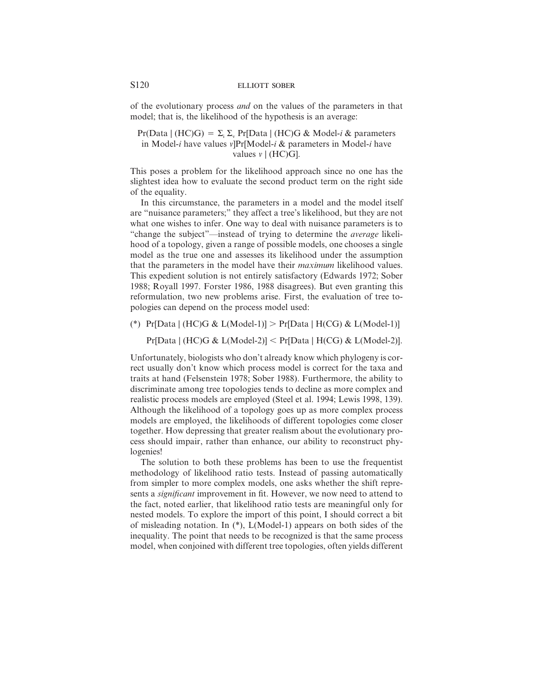of the evolutionary process *and* on the values of the parameters in that model; that is, the likelihood of the hypothesis is an average:

 $Pr(Data | (HC)G) = \sum_i \sum_v Pr[Data | (HC)G & Model-i & parameters$ in Model-*i* have values *v*]Pr[Model-*i* & parameters in Model-*i* have values  $v$  | (HC)G].

This poses a problem for the likelihood approach since no one has the slightest idea how to evaluate the second product term on the right side of the equality.

In this circumstance, the parameters in a model and the model itself are "nuisance parameters;" they affect a tree's likelihood, but they are not what one wishes to infer. One way to deal with nuisance parameters is to "change the subject"—instead of trying to determine the *average* likelihood of a topology, given a range of possible models, one chooses a single model as the true one and assesses its likelihood under the assumption that the parameters in the model have their *maximum* likelihood values. This expedient solution is not entirely satisfactory (Edwards 1972; Sober 1988; Royall 1997. Forster 1986, 1988 disagrees). But even granting this reformulation, two new problems arise. First, the evaluation of tree topologies can depend on the process model used:

(\*) Pr[Data  $|(HC)G \& L(Model-1)| > Pr[Data | H(CG) \& L(Model-1)]$ 

Pr[Data | (HC)G & L(Model-2)] - Pr[Data | H(CG) & L(Model-2)].

Unfortunately, biologists who don't already know which phylogeny is correct usually don't know which process model is correct for the taxa and traits at hand (Felsenstein 1978; Sober 1988). Furthermore, the ability to discriminate among tree topologies tends to decline as more complex and realistic process models are employed (Steel et al. 1994; Lewis 1998, 139). Although the likelihood of a topology goes up as more complex process models are employed, the likelihoods of different topologies come closer together. How depressing that greater realism about the evolutionary process should impair, rather than enhance, our ability to reconstruct phylogenies!

The solution to both these problems has been to use the frequentist methodology of likelihood ratio tests. Instead of passing automatically from simpler to more complex models, one asks whether the shift represents a *significant* improvement in fit. However, we now need to attend to the fact, noted earlier, that likelihood ratio tests are meaningful only for nested models. To explore the import of this point, I should correct a bit of misleading notation. In (\*), L(Model-1) appears on both sides of the inequality. The point that needs to be recognized is that the same process model, when conjoined with different tree topologies, often yields different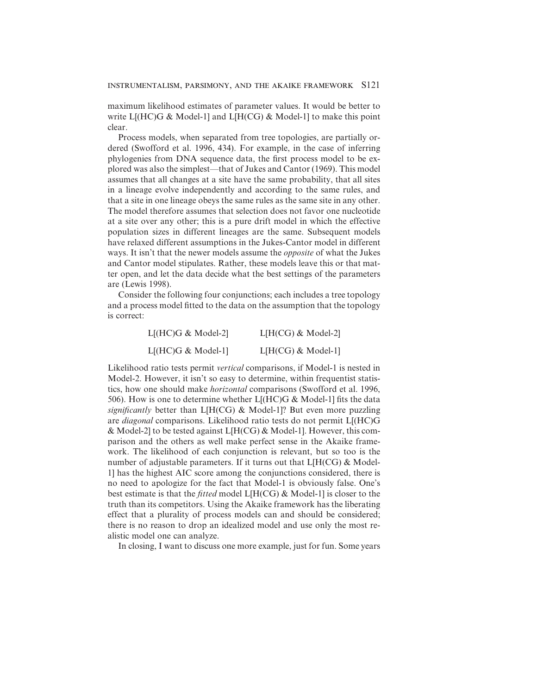maximum likelihood estimates of parameter values. It would be better to write  $L[(HC)G \& Model-1]$  and  $L[H(CG) \& Model-1]$  to make this point clear.

Process models, when separated from tree topologies, are partially ordered (Swofford et al. 1996, 434). For example, in the case of inferring phylogenies from DNA sequence data, the first process model to be explored was also the simplest—that of Jukes and Cantor (1969). This model assumes that all changes at a site have the same probability, that all sites in a lineage evolve independently and according to the same rules, and that a site in one lineage obeys the same rules as the same site in any other. The model therefore assumes that selection does not favor one nucleotide at a site over any other; this is a pure drift model in which the effective population sizes in different lineages are the same. Subsequent models have relaxed different assumptions in the Jukes-Cantor model in different ways. It isn't that the newer models assume the *opposite* of what the Jukes and Cantor model stipulates. Rather, these models leave this or that matter open, and let the data decide what the best settings of the parameters are (Lewis 1998).

Consider the following four conjunctions; each includes a tree topology and a process model fitted to the data on the assumption that the topology is correct:

| $L[$ (HC)G & Model-2] | $L[H(CG) & Model-2]$ |
|-----------------------|----------------------|
| $L[$ (HC)G & Model-1] | $L[H(CG) & Model-1]$ |

Likelihood ratio tests permit *vertical* comparisons, if Model-1 is nested in Model-2. However, it isn't so easy to determine, within frequentist statistics, how one should make *horizontal* comparisons (Swofford et al. 1996, 506). How is one to determine whether  $L[(HC)G \& Model-1]$  fits the data *significantly* better than L[H(CG) & Model-1]? But even more puzzling are *diagonal* comparisons. Likelihood ratio tests do not permit L[(HC)G & Model-2] to be tested against  $L[H(CG) \& Model-1]$ . However, this comparison and the others as well make perfect sense in the Akaike framework. The likelihood of each conjunction is relevant, but so too is the number of adjustable parameters. If it turns out that  $L[H(CG) \& Model-$ 1] has the highest AIC score among the conjunctions considered, there is no need to apologize for the fact that Model-1 is obviously false. One's best estimate is that the *fitted* model L[H(CG) & Model-1] is closer to the truth than its competitors. Using the Akaike framework has the liberating effect that a plurality of process models can and should be considered; there is no reason to drop an idealized model and use only the most realistic model one can analyze.

In closing, I want to discuss one more example, just for fun. Some years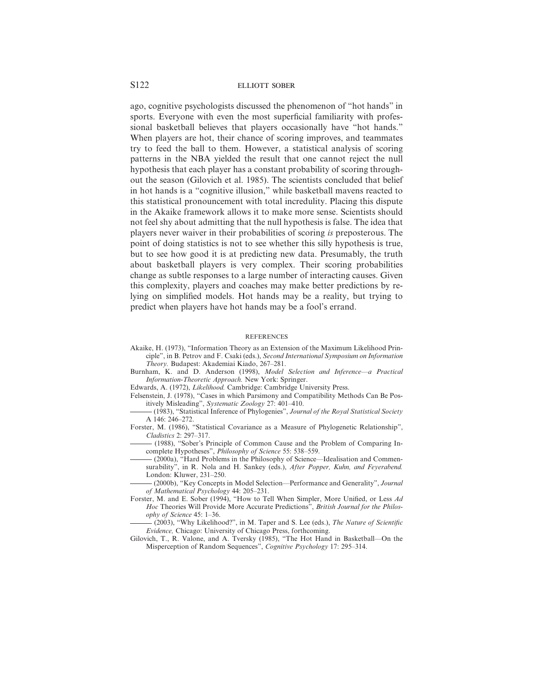## S122 ELLIOTT SOBER

ago, cognitive psychologists discussed the phenomenon of "hot hands" in sports. Everyone with even the most superficial familiarity with professional basketball believes that players occasionally have "hot hands." When players are hot, their chance of scoring improves, and teammates try to feed the ball to them. However, a statistical analysis of scoring patterns in the NBA yielded the result that one cannot reject the null hypothesis that each player has a constant probability of scoring throughout the season (Gilovich et al. 1985). The scientists concluded that belief in hot hands is a "cognitive illusion," while basketball mavens reacted to this statistical pronouncement with total incredulity. Placing this dispute in the Akaike framework allows it to make more sense. Scientists should not feel shy about admitting that the null hypothesis is false. The idea that players never waiver in their probabilities of scoring *is* preposterous. The point of doing statistics is not to see whether this silly hypothesis is true, but to see how good it is at predicting new data. Presumably, the truth about basketball players is very complex. Their scoring probabilities change as subtle responses to a large number of interacting causes. Given this complexity, players and coaches may make better predictions by relying on simplified models. Hot hands may be a reality, but trying to predict when players have hot hands may be a fool's errand.

#### **REFERENCES**

- Akaike, H. (1973), "Information Theory as an Extension of the Maximum Likelihood Principle", in B. Petrov and F. Csaki (eds.), *Second International Symposium on Information Theory.* Budapest: Akademiai Kiado, 267–281.
- Burnham, K. and D. Anderson (1998), *Model Selection and Inference*—*a Practical Information-Theoretic Approach.* New York: Springer.
- Edwards, A. (1972), *Likelihood.* Cambridge: Cambridge University Press.
- Felsenstein, J. (1978), "Cases in which Parsimony and Compatibility Methods Can Be Positively Misleading", *Systematic Zoology* 27: 401–410.
- (1983), "Statistical Inference of Phylogenies", *Journal of the Royal Statistical Society* A 146: 246–272.
- Forster, M. (1986), "Statistical Covariance as a Measure of Phylogenetic Relationship", *Cladistics* 2: 297–317.
- (1988), "Sober's Principle of Common Cause and the Problem of Comparing Incomplete Hypotheses", *Philosophy of Science* 55: 538–559.
- (2000a), "Hard Problems in the Philosophy of Science—Idealisation and Commensurability", in R. Nola and H. Sankey (eds.), *After Popper, Kuhn, and Feyerabend.* London: Kluwer, 231–250.
- (2000b), "Key Concepts in Model Selection—Performance and Generality", *Journal of Mathematical Psychology* 44: 205–231.
- Forster, M. and E. Sober (1994), "How to Tell When Simpler, More Unified, or Less *Ad Hoc* Theories Will Provide More Accurate Predictions", *British Journal for the Philosophy of Science* 45: 1–36.

(2003), "Why Likelihood?", in M. Taper and S. Lee (eds.), *The Nature of Scientific Evidence,* Chicago: University of Chicago Press, forthcoming.

Gilovich, T., R. Valone, and A. Tversky (1985), "The Hot Hand in Basketball—On the Misperception of Random Sequences", *Cognitive Psychology* 17: 295–314.